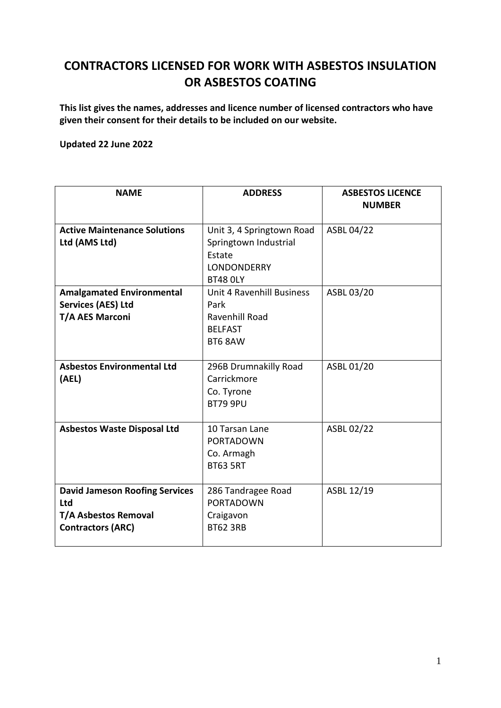## **CONTRACTORS LICENSED FOR WORK WITH ASBESTOS INSULATION OR ASBESTOS COATING**

**This list gives the names, addresses and licence number of licensed contractors who have given their consent for their details to be included on our website.**

## **Updated 22 June 2022**

| <b>NAME</b>                                                                                             | <b>ADDRESS</b>                                                                                 | <b>ASBESTOS LICENCE</b><br><b>NUMBER</b> |
|---------------------------------------------------------------------------------------------------------|------------------------------------------------------------------------------------------------|------------------------------------------|
| <b>Active Maintenance Solutions</b><br>Ltd (AMS Ltd)                                                    | Unit 3, 4 Springtown Road<br>Springtown Industrial<br>Estate<br>LONDONDERRY<br><b>BT48 OLY</b> | ASBL 04/22                               |
| <b>Amalgamated Environmental</b><br><b>Services (AES) Ltd</b><br><b>T/A AES Marconi</b>                 | Unit 4 Ravenhill Business<br>Park<br>Ravenhill Road<br><b>BELFAST</b><br>BT6 8AW               | ASBL 03/20                               |
| <b>Asbestos Environmental Ltd</b><br>(AEL)                                                              | 296B Drumnakilly Road<br>Carrickmore<br>Co. Tyrone<br><b>BT79 9PU</b>                          | ASBL 01/20                               |
| <b>Asbestos Waste Disposal Ltd</b>                                                                      | 10 Tarsan Lane<br><b>PORTADOWN</b><br>Co. Armagh<br><b>BT63 5RT</b>                            | ASBL 02/22                               |
| <b>David Jameson Roofing Services</b><br>Ltd<br><b>T/A Asbestos Removal</b><br><b>Contractors (ARC)</b> | 286 Tandragee Road<br><b>PORTADOWN</b><br>Craigavon<br><b>BT62 3RB</b>                         | ASBL 12/19                               |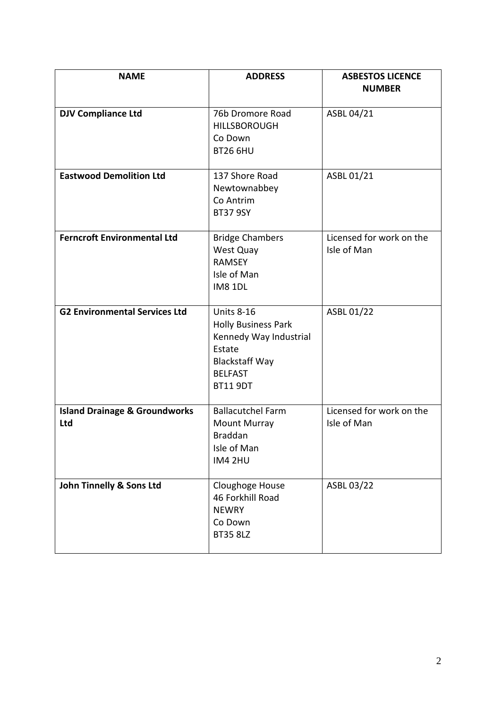| <b>NAME</b>                                     | <b>ADDRESS</b>                                                                                                                                    | <b>ASBESTOS LICENCE</b><br><b>NUMBER</b> |
|-------------------------------------------------|---------------------------------------------------------------------------------------------------------------------------------------------------|------------------------------------------|
| <b>DJV Compliance Ltd</b>                       | 76b Dromore Road<br><b>HILLSBOROUGH</b><br>Co Down<br><b>BT26 6HU</b>                                                                             | ASBL 04/21                               |
| <b>Eastwood Demolition Ltd</b>                  | 137 Shore Road<br>Newtownabbey<br>Co Antrim<br><b>BT37 9SY</b>                                                                                    | ASBL 01/21                               |
| <b>Ferncroft Environmental Ltd</b>              | <b>Bridge Chambers</b><br>West Quay<br><b>RAMSEY</b><br>Isle of Man<br><b>IM8 1DL</b>                                                             | Licensed for work on the<br>Isle of Man  |
| <b>G2 Environmental Services Ltd</b>            | <b>Units 8-16</b><br><b>Holly Business Park</b><br>Kennedy Way Industrial<br>Estate<br><b>Blackstaff Way</b><br><b>BELFAST</b><br><b>BT11 9DT</b> | ASBL 01/22                               |
| <b>Island Drainage &amp; Groundworks</b><br>Ltd | <b>Ballacutchel Farm</b><br><b>Mount Murray</b><br><b>Braddan</b><br>Isle of Man<br><b>IM4 2HU</b>                                                | Licensed for work on the<br>Isle of Man  |
| John Tinnelly & Sons Ltd                        | Cloughoge House<br>46 Forkhill Road<br><b>NEWRY</b><br>Co Down<br><b>BT35 8LZ</b>                                                                 | ASBL 03/22                               |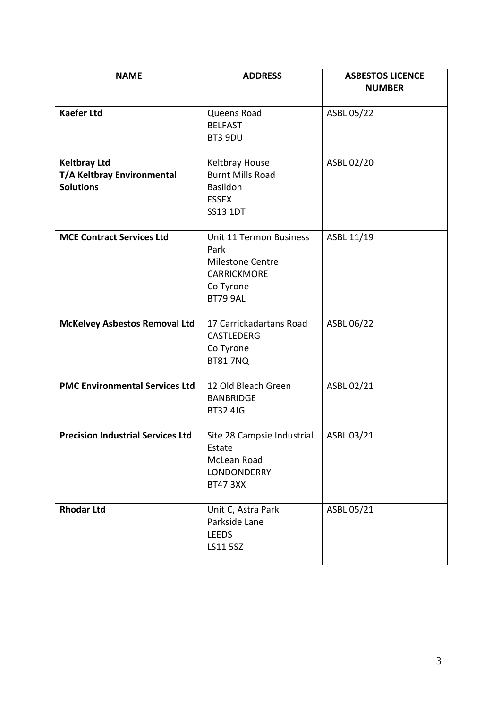| <b>NAME</b>                                                           | <b>ADDRESS</b>                                                                                                          | <b>ASBESTOS LICENCE</b><br><b>NUMBER</b> |
|-----------------------------------------------------------------------|-------------------------------------------------------------------------------------------------------------------------|------------------------------------------|
| <b>Kaefer Ltd</b>                                                     | Queens Road<br><b>BELFAST</b><br>BT3 9DU                                                                                | ASBL 05/22                               |
| <b>Keltbray Ltd</b><br>T/A Keltbray Environmental<br><b>Solutions</b> | Keltbray House<br><b>Burnt Mills Road</b><br>Basildon<br><b>ESSEX</b><br><b>SS13 1DT</b>                                | ASBL 02/20                               |
| <b>MCE Contract Services Ltd</b>                                      | <b>Unit 11 Termon Business</b><br>Park<br><b>Milestone Centre</b><br><b>CARRICKMORE</b><br>Co Tyrone<br><b>BT79 9AL</b> | ASBL 11/19                               |
| <b>McKelvey Asbestos Removal Ltd</b>                                  | 17 Carrickadartans Road<br><b>CASTLEDERG</b><br>Co Tyrone<br><b>BT81 7NQ</b>                                            | ASBL 06/22                               |
| <b>PMC Environmental Services Ltd</b>                                 | 12 Old Bleach Green<br><b>BANBRIDGE</b><br><b>BT32 4JG</b>                                                              | ASBL 02/21                               |
| <b>Precision Industrial Services Ltd</b>                              | Site 28 Campsie Industrial<br>Estate<br>McLean Road<br>LONDONDERRY<br><b>BT47 3XX</b>                                   | ASBL 03/21                               |
| <b>Rhodar Ltd</b>                                                     | Unit C, Astra Park<br>Parkside Lane<br><b>LEEDS</b><br>LS11 5SZ                                                         | ASBL 05/21                               |